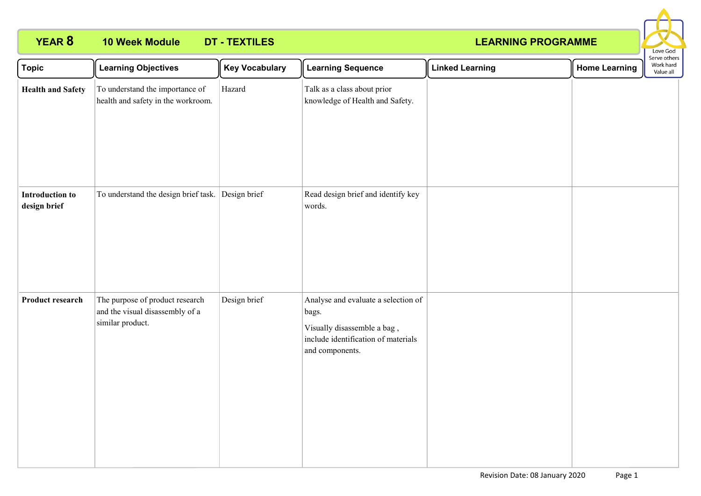# **YEAR 8 10 Week Module DT - TEXTILES**

## **LEARNING PROGRAMME**



| <b>Topic</b>                           | <b>Learning Objectives</b>                                                             | <b>Key Vocabulary</b> | <b>Learning Sequence</b>                                                                                                              | <b>Linked Learning</b> | <b>Home Learning</b> | Serve others<br>Work hard<br>Value all |
|----------------------------------------|----------------------------------------------------------------------------------------|-----------------------|---------------------------------------------------------------------------------------------------------------------------------------|------------------------|----------------------|----------------------------------------|
| <b>Health and Safety</b>               | To understand the importance of<br>health and safety in the workroom.                  | Hazard                | Talk as a class about prior<br>knowledge of Health and Safety.                                                                        |                        |                      |                                        |
| <b>Introduction to</b><br>design brief | To understand the design brief task. Design brief                                      |                       | Read design brief and identify key<br>words.                                                                                          |                        |                      |                                        |
| Product research                       | The purpose of product research<br>and the visual disassembly of a<br>similar product. | Design brief          | Analyse and evaluate a selection of<br>bags.<br>Visually disassemble a bag,<br>include identification of materials<br>and components. |                        |                      |                                        |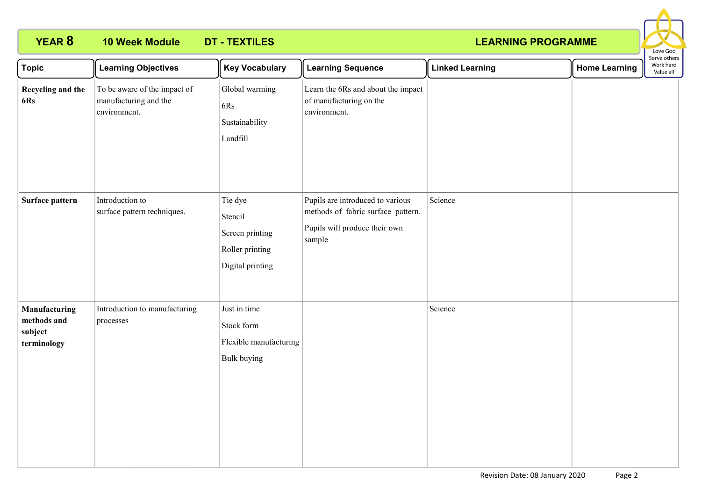# **YEAR 8 10 Week Module DT - TEXTILES**

## **LEARNING PROGRAMME**



| <b>Topic</b>                                           | <b>Learning Objectives</b>                                            | <b>Key Vocabulary</b>                                                        | <b>Learning Sequence</b>                                                                                          | <b>Linked Learning</b> | <b>Home Learning</b> | Serve others<br>Work hard<br>Value all |
|--------------------------------------------------------|-----------------------------------------------------------------------|------------------------------------------------------------------------------|-------------------------------------------------------------------------------------------------------------------|------------------------|----------------------|----------------------------------------|
| Recycling and the<br>6Rs                               | To be aware of the impact of<br>manufacturing and the<br>environment. | Global warming<br>6Rs<br>Sustainability<br>Landfill                          | Learn the 6Rs and about the impact<br>of manufacturing on the<br>environment.                                     |                        |                      |                                        |
| Surface pattern                                        | Introduction to<br>surface pattern techniques.                        | Tie dye<br>Stencil<br>Screen printing<br>Roller printing<br>Digital printing | Pupils are introduced to various<br>methods of fabric surface pattern.<br>Pupils will produce their own<br>sample | Science                |                      |                                        |
| Manufacturing<br>methods and<br>subject<br>terminology | Introduction to manufacturing<br>processes                            | Just in time<br>Stock form<br>Flexible manufacturing<br>Bulk buying          |                                                                                                                   | Science                |                      |                                        |